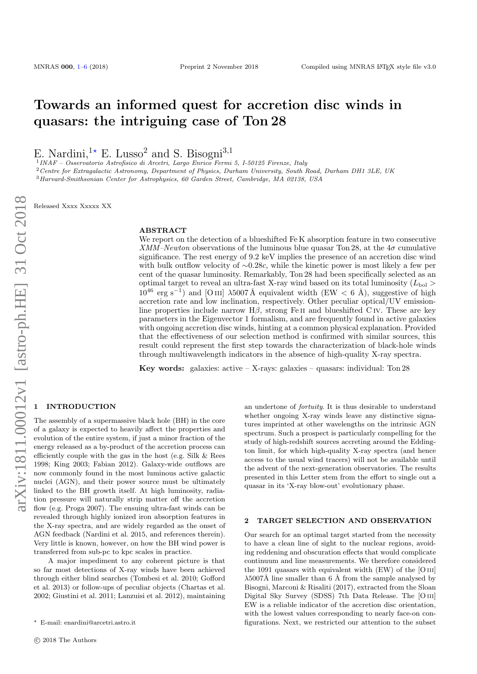# Towards an informed quest for accretion disc winds in quasars: the intriguing case of Ton 28

E. Nardini,<sup>1\*</sup> E. Lusso<sup>2</sup> and S. Bisogni<sup>3,1</sup>

1 INAF – Osservatorio Astrofisico di Arcetri, Largo Enrico Fermi 5, I-50125 Firenze, Italy

<sup>2</sup>Centre for Extragalactic Astronomy, Department of Physics, Durham University, South Road, Durham DH1 3LE, UK <sup>3</sup>Harvard-Smithsonian Center for Astrophysics, 60 Garden Street, Cambridge, MA 02138, USA

Released Xxxx Xxxxx XX

#### ABSTRACT

We report on the detection of a blueshifted Fe K absorption feature in two consecutive XMM–Newton observations of the luminous blue quasar Ton 28, at the  $4\sigma$  cumulative significance. The rest energy of 9.2 keV implies the presence of an accretion disc wind with bulk outflow velocity of ∼0.28c, while the kinetic power is most likely a few per cent of the quasar luminosity. Remarkably, Ton 28 had been specifically selected as an optimal target to reveal an ultra-fast X-ray wind based on its total luminosity  $(L_{\text{bol}} >$  $10^{46}$  erg s<sup>-1</sup>) and [O III]  $\lambda$ 5007 Å equivalent width (EW < 6 Å), suggestive of high accretion rate and low inclination, respectively. Other peculiar optical/UV emissionline properties include narrow  $H\beta$ , strong Fe II and blueshifted C IV. These are key parameters in the Eigenvector 1 formalism, and are frequently found in active galaxies with ongoing accretion disc winds, hinting at a common physical explanation. Provided that the effectiveness of our selection method is confirmed with similar sources, this result could represent the first step towards the characterization of black-hole winds through multiwavelength indicators in the absence of high-quality X-ray spectra.

**Key words:** galaxies: active  $-$  X-rays: galaxies  $-$  quasars: individual: Ton 28

# <span id="page-0-0"></span>**INTRODUCTION**

The assembly of a supermassive black hole (BH) in the core of a galaxy is expected to heavily affect the properties and evolution of the entire system, if just a minor fraction of the energy released as a by-product of the accretion process can efficiently couple with the gas in the host (e.g. Silk & Rees 1998; King 2003; Fabian 2012). Galaxy-wide outflows are now commonly found in the most luminous active galactic nuclei (AGN), and their power source must be ultimately linked to the BH growth itself. At high luminosity, radiation pressure will naturally strip matter off the accretion flow (e.g. Proga 2007). The ensuing ultra-fast winds can be revealed through highly ionized iron absorption features in the X-ray spectra, and are widely regarded as the onset of AGN feedback (Nardini et al. 2015, and references therein). Very little is known, however, on how the BH wind power is transferred from sub-pc to kpc scales in practice.

A major impediment to any coherent picture is that so far most detections of X-ray winds have been achieved through either blind searches (Tombesi et al. 2010; Gofford et al. 2013) or follow-ups of peculiar objects (Chartas et al. 2002; Giustini et al. 2011; Lanzuisi et al. 2012), maintaining an undertone of fortuity. It is thus desirable to understand whether ongoing X-ray winds leave any distinctive signatures imprinted at other wavelengths on the intrinsic AGN spectrum. Such a prospect is particularly compelling for the study of high-redshift sources accreting around the Eddington limit, for which high-quality X-ray spectra (and hence access to the usual wind tracers) will not be available until the advent of the next-generation observatories. The results presented in this Letter stem from the effort to single out a quasar in its 'X-ray blow-out' evolutionary phase.

#### 2 TARGET SELECTION AND OBSERVATION

Our search for an optimal target started from the necessity to have a clean line of sight to the nuclear regions, avoiding reddening and obscuration effects that would complicate continuum and line measurements. We therefore considered the 1091 quasars with equivalent width (EW) of the [O iii]  $\lambda$ 5007Å line smaller than 6 Å from the sample analysed by Bisogni, Marconi & Risaliti (2017), extracted from the Sloan Digital Sky Survey (SDSS) 7th Data Release. The [O iii] EW is a reliable indicator of the accretion disc orientation, with the lowest values corresponding to nearly face-on configurations. Next, we restricted our attention to the subset

<sup>?</sup> E-mail: enardini@arcetri.astro.it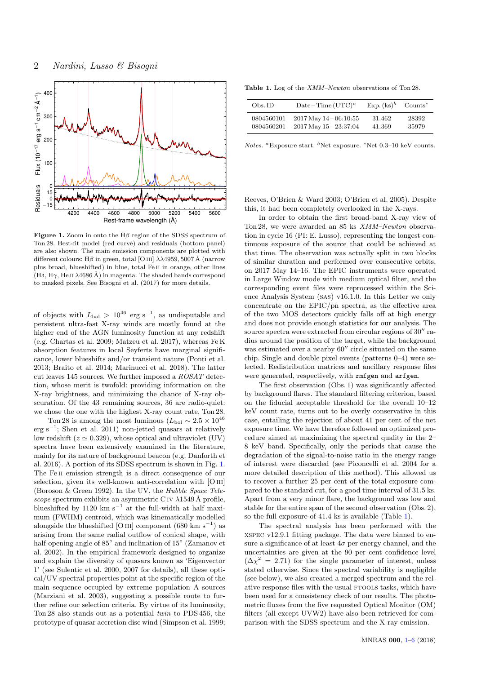

<span id="page-1-0"></span>Figure 1. Zoom in onto the  $H\beta$  region of the SDSS spectrum of Ton 28. Best-fit model (red curve) and residuals (bottom panel) are also shown. The main emission components are plotted with different colours: H $\beta$  in green, total [O III]  $\lambda\lambda$ 4959, 5007 Å (narrow plus broad, blueshifted) in blue, total Fe ii in orange, other lines (H $\delta$ , H $\gamma$ , He II  $\lambda$ 4686 Å) in magenta. The shaded bands correspond to masked pixels. See Bisogni et al. (2017) for more details.

of objects with  $L_{\text{bol}} > 10^{46}$  erg s<sup>-1</sup>, as undisputable and persistent ultra-fast X-ray winds are mostly found at the higher end of the AGN luminosity function at any redshift (e.g. Chartas et al. 2009; Matzeu et al. 2017), whereas Fe K absorption features in local Seyferts have marginal significance, lower blueshifts and/or transient nature (Ponti et al. 2013; Braito et al. 2014; Marinucci et al. 2018). The latter cut leaves 145 sources. We further imposed a ROSAT detection, whose merit is twofold: providing information on the X-ray brightness, and minimizing the chance of X-ray obscuration. Of the 43 remaining sources, 36 are radio-quiet: we chose the one with the highest X-ray count rate, Ton 28.

Ton 28 is among the most luminous ( $L_{\text{bol}} \sim 2.5 \times 10^{46}$  $erg s^{-1}$ ; Shen et al. 2011) non-jetted quasars at relatively low redshift ( $z \approx 0.329$ ), whose optical and ultraviolet (UV) spectra have been extensively examined in the literature, mainly for its nature of background beacon (e.g. Danforth et al. 2016). A portion of its SDSS spectrum is shown in Fig. [1.](#page-1-0) The Fe<sub>II</sub> emission strength is a direct consequence of our selection, given its well-known anti-correlation with [O III] (Boroson & Green 1992). In the UV, the Hubble Space Telescope spectrum exhibits an asymmetric C IV  $\lambda$ 1549 Å profile, blueshifted by 1120 km s<sup>-1</sup> at the full-width at half maximum (FWHM) centroid, which was kinematically modelled alongside the blueshifted [O III] component (680 km s<sup>-1</sup>) as arising from the same radial outflow of conical shape, with half-opening angle of 85<sup>°</sup> and inclination of 15<sup>°</sup> (Zamanov et al. 2002). In the empirical framework designed to organize and explain the diversity of quasars known as 'Eigenvector 1' (see Sulentic et al. 2000, 2007 for details), all these optical/UV spectral properties point at the specific region of the main sequence occupied by extreme population A sources (Marziani et al. 2003), suggesting a possible route to further refine our selection criteria. By virtue of its luminosity, Ton 28 also stands out as a potential twin to PDS 456, the prototype of quasar accretion disc wind (Simpson et al. 1999;

<span id="page-1-1"></span>Table 1. Log of the *XMM–Newton* observations of Ton 28.

| Obs. ID    | Date – Time $(UTC)^a$      | $Exp. (ks)^b$ | $Counts^c$ |
|------------|----------------------------|---------------|------------|
| 0804560101 | $2017$ May $14 - 06:10:55$ | 31.462        | 28392      |
| 0804560201 | $2017$ May $15 - 23:37:04$ | 41.369        | 35979      |

Notes. <sup>a</sup>Exposure start. <sup>b</sup>Net exposure. <sup>c</sup>Net 0.3–10 keV counts.

Reeves, O'Brien & Ward 2003; O'Brien et al. 2005). Despite this, it had been completely overlooked in the X-rays.

In order to obtain the first broad-band X-ray view of Ton 28, we were awarded an 85 ks XMM–Newton observation in cycle 16 (PI: E. Lusso), representing the longest continuous exposure of the source that could be achieved at that time. The observation was actually split in two blocks of similar duration and performed over consecutive orbits, on 2017 May 14–16. The EPIC instruments were operated in Large Window mode with medium optical filter, and the corresponding event files were reprocessed within the Science Analysis System (sas) v16.1.0. In this Letter we only concentrate on the EPIC/pn spectra, as the effective area of the two MOS detectors quickly falls off at high energy and does not provide enough statistics for our analysis. The source spectra were extracted from circular regions of  $30''$  radius around the position of the target, while the background was estimated over a nearby  $60''$  circle situated on the same chip. Single and double pixel events (patterns 0–4) were selected. Redistribution matrices and ancillary response files were generated, respectively, with rmfgen and arfgen.

The first observation (Obs. 1) was significantly affected by background flares. The standard filtering criterion, based on the fiducial acceptable threshold for the overall 10–12 keV count rate, turns out to be overly conservative in this case, entailing the rejection of about 41 per cent of the net exposure time. We have therefore followed an optimized procedure aimed at maximizing the spectral quality in the 2– 8 keV band. Specifically, only the periods that cause the degradation of the signal-to-noise ratio in the energy range of interest were discarded (see Piconcelli et al. 2004 for a more detailed description of this method). This allowed us to recover a further 25 per cent of the total exposure compared to the standard cut, for a good time interval of 31.5 ks. Apart from a very minor flare, the background was low and stable for the entire span of the second observation (Obs. 2), so the full exposure of 41.4 ks is available (Table [1\)](#page-1-1).

The spectral analysis has been performed with the xspec v12.9.1 fitting package. The data were binned to ensure a significance of at least  $4\sigma$  per energy channel, and the uncertainties are given at the 90 per cent confidence level  $(\Delta \chi^2 = 2.71)$  for the single parameter of interest, unless stated otherwise. Since the spectral variability is negligible (see below), we also created a merged spectrum and the relative response files with the usual FTOOLS tasks, which have been used for a consistency check of our results. The photometric fluxes from the five requested Optical Monitor (OM) filters (all except UVW2) have also been retrieved for comparison with the SDSS spectrum and the X-ray emission.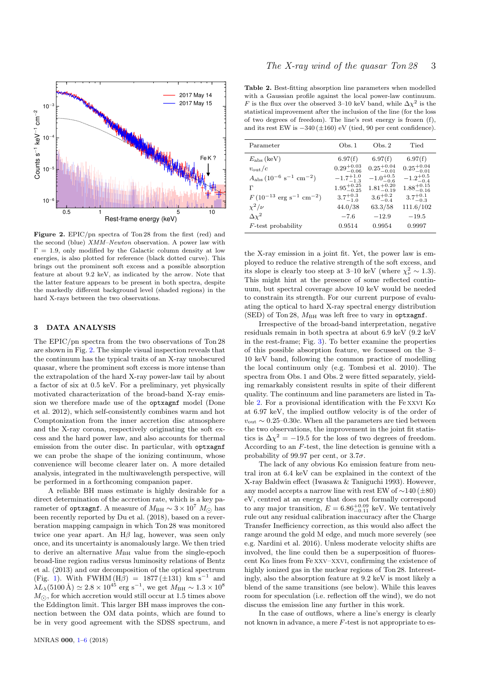

<span id="page-2-0"></span>Figure 2. EPIC/pn spectra of Ton 28 from the first (red) and the second (blue) XMM–Newton observation. A power law with  $\Gamma = 1.9$ , only modified by the Galactic column density at low energies, is also plotted for reference (black dotted curve). This brings out the prominent soft excess and a possible absorption feature at about 9.2 keV, as indicated by the arrow. Note that the latter feature appears to be present in both spectra, despite the markedly different background level (shaded regions) in the hard X-rays between the two observations.

### 3 DATA ANALYSIS

The EPIC/pn spectra from the two observations of Ton 28 are shown in Fig. [2.](#page-2-0) The simple visual inspection reveals that the continuum has the typical traits of an X-ray unobscured quasar, where the prominent soft excess is more intense than the extrapolation of the hard X-ray power-law tail by about a factor of six at 0.5 keV. For a preliminary, yet physically motivated characterization of the broad-band X-ray emission we therefore made use of the optxagnf model (Done et al. 2012), which self-consistently combines warm and hot Comptonization from the inner accretion disc atmosphere and the X-ray corona, respectively originating the soft excess and the hard power law, and also accounts for thermal emission from the outer disc. In particular, with optxagnf we can probe the shape of the ionizing continuum, whose convenience will become clearer later on. A more detailed analysis, integrated in the multiwavelength perspective, will be performed in a forthcoming companion paper.

A reliable BH mass estimate is highly desirable for a direct determination of the accretion rate, which is a key parameter of optxagnf. A measure of  $M_{\rm BH} \sim 3 \times 10^7$   $M_{\odot}$  has been recently reported by Du et al. (2018), based on a reverberation mapping campaign in which Ton 28 was monitored twice one year apart. An  $H\beta$  lag, however, was seen only once, and its uncertainty is anomalously large. We then tried to derive an alternative  $M_{\rm BH}$  value from the single-epoch broad-line region radius versus luminosity relations of Bentz et al. (2013) and our decomposition of the optical spectrum (Fig. [1\)](#page-1-0). With FWHM  $(H\beta) = 1877 (\pm 131)$  km s<sup>-1</sup> and  $\lambda L_{\lambda} (5100 \text{ Å}) \simeq 2.8 \times 10^{45} \text{ erg s}^{-1}$ , we get  $M_{\text{BH}} \sim 1.3 \times 10^8$  $M_{\odot}$ , for which accretion would still occur at 1.5 times above the Eddington limit. This larger BH mass improves the connection between the OM data points, which are found to be in very good agreement with the SDSS spectrum, and

<span id="page-2-1"></span>Table 2. Best-fitting absorption line parameters when modelled with a Gaussian profile against the local power-law continuum. F is the flux over the observed 3–10 keV band, while  $\Delta \chi^2$  is the statistical improvement after the inclusion of the line (for the loss of two degrees of freedom). The line's rest energy is frozen (f), and its rest EW is  $-340 \, (\pm 160)$  eV (tied, 90 per cent confidence).

| Parameter                                                 | Obs.1                  | Obs.2                  | Tied                   |
|-----------------------------------------------------------|------------------------|------------------------|------------------------|
| $E_{\rm abs}$ (keV)                                       | 6.97(f)                | 6.97(f)                | 6.97(f)                |
| $v_{\rm out}/c$                                           | $0.29^{+0.03}_{-0.06}$ | $0.25^{+0.04}_{-0.01}$ | $0.25^{+0.04}_{-0.01}$ |
| $A_{\text{abs}} (10^{-6} \text{ s}^{-1} \text{ cm}^{-2})$ | $-1.7^{+1.0}_{-1.3}$   | $-1.0^{+0.5}_{-0.6}$   | $-1.2^{+0.5}_{-0.4}$   |
| г                                                         | $1.95^{+0.25}_{-0.25}$ | $1.81^{+0.20}_{-0.19}$ | $1.88^{+0.15}_{-0.16}$ |
| $F(10^{-13} \text{ erg s}^{-1} \text{ cm}^{-2})$          | $3.7^{+0.3}_{-1.0}$    | $3.6^{+0.2}_{-0.4}$    | $3.7^{+0.1}_{-0.3}$    |
| $\chi^2/\nu$                                              | 44.0/38                | 63.3/58                | 111.6/102              |
| $\Delta\chi^2$                                            | $-7.6$                 | $-12.9$                | $-19.5$                |
| $F$ -test probability                                     | 0.9514                 | 0.9954                 | 0.9997                 |

the X-ray emission in a joint fit. Yet, the power law is employed to reduce the relative strength of the soft excess, and its slope is clearly too steep at 3–10 keV (where  $\chi^2_{\nu} \sim 1.3$ ). This might hint at the presence of some reflected continuum, but spectral coverage above 10 keV would be needed to constrain its strength. For our current purpose of evaluating the optical to hard X-ray spectral energy distribution (SED) of Ton 28,  $M_{BH}$  was left free to vary in optxagnf.

Irrespective of the broad-band interpretation, negative residuals remain in both spectra at about 6.9 keV (9.2 keV in the rest-frame; Fig. [3\)](#page-3-1). To better examine the properties of this possible absorption feature, we focussed on the 3– 10 keV band, following the common practice of modelling the local continuum only (e.g. Tombesi et al. 2010). The spectra from Obs. 1 and Obs. 2 were fitted separately, yielding remarkably consistent results in spite of their different quality. The continuum and line parameters are listed in Table [2.](#page-2-1) For a provisional identification with the Fe xxvi Kα at 6.97 keV, the implied outflow velocity is of the order of  $v_{\text{out}} \sim 0.25$ –0.30c. When all the parameters are tied between the two observations, the improvement in the joint fit statistics is  $\Delta \chi^2 = -19.5$  for the loss of two degrees of freedom. According to an  $F$ -test, the line detection is genuine with a probability of 99.97 per cent, or  $3.7\sigma$ .

The lack of any obvious  $K\alpha$  emission feature from neutral iron at 6.4 keV can be explained in the context of the X-ray Baldwin effect (Iwasawa & Taniguchi 1993). However, any model accepts a narrow line with rest EW of ∼140 (±80) eV, centred at an energy that does not formally correspond to any major transition,  $E = 6.86^{+0.09}_{-0.11}$  keV. We tentatively rule out any residual calibration inaccuracy after the Charge Transfer Inefficiency correction, as this would also affect the range around the gold M edge, and much more severely (see e.g. Nardini et al. 2016). Unless moderate velocity shifts are involved, the line could then be a superposition of fluorescent  $K\alpha$  lines from Fe xxv–xxvi, confirming the existence of highly ionized gas in the nuclear regions of Ton 28. Interestingly, also the absorption feature at 9.2 keV is most likely a blend of the same transitions (see below). While this leaves room for speculation (i.e. reflection off the wind), we do not discuss the emission line any further in this work.

In the case of outflows, where a line's energy is clearly not known in advance, a mere  $F$ -test is not appropriate to es-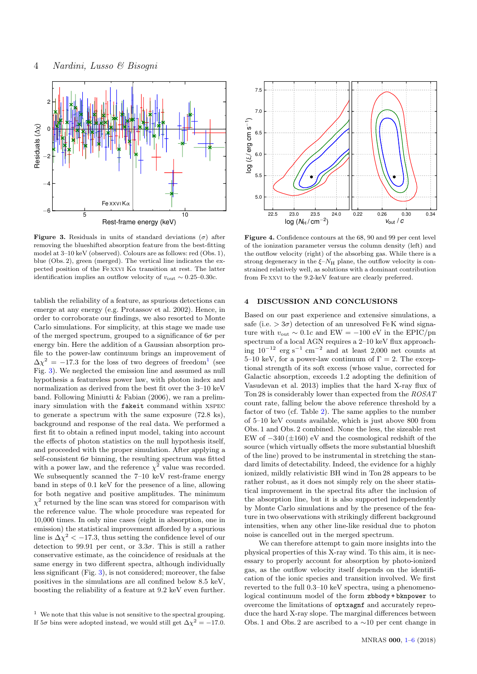

<span id="page-3-1"></span>**Figure 3.** Residuals in units of standard deviations  $(\sigma)$  after removing the blueshifted absorption feature from the best-fitting model at 3–10 keV (observed). Colours are as follows: red (Obs. 1), blue (Obs. 2), green (merged). The vertical line indicates the expected position of the Fe xxvi K $\alpha$  transition at rest. The latter identification implies an outflow velocity of vout ∼ 0.25–0.30c.

tablish the reliability of a feature, as spurious detections can emerge at any energy (e.g. Protassov et al. 2002). Hence, in order to corroborate our findings, we also resorted to Monte Carlo simulations. For simplicity, at this stage we made use of the merged spectrum, grouped to a significance of  $6\sigma$  per energy bin. Here the addition of a Gaussian absorption profile to the power-law continuum brings an improvement of  $\Delta \chi^2 = -17.3$  $\Delta \chi^2 = -17.3$  $\Delta \chi^2 = -17.3$  for the loss of two degrees of freedom<sup>1</sup> (see Fig. [3\)](#page-3-1). We neglected the emission line and assumed as null hypothesis a featureless power law, with photon index and normalization as derived from the best fit over the 3–10 keV band. Following Miniutti & Fabian (2006), we ran a preliminary simulation with the fakeit command within xspec to generate a spectrum with the same exposure (72.8 ks), background and response of the real data. We performed a first fit to obtain a refined input model, taking into account the effects of photon statistics on the null hypothesis itself, and proceeded with the proper simulation. After applying a self-consistent  $6\sigma$  binning, the resulting spectrum was fitted with a power law, and the reference  $\chi^2$  value was recorded. We subsequently scanned the  $7-10 \text{ keV}$  rest-frame energy band in steps of 0.1 keV for the presence of a line, allowing for both negative and positive amplitudes. The minimum  $\chi^2$  returned by the line scan was stored for comparison with the reference value. The whole procedure was repeated for 10,000 times. In only nine cases (eight in absorption, one in emission) the statistical improvement afforded by a spurious line is  $\Delta \chi^2 < -17.3$ , thus setting the confidence level of our detection to 99.91 per cent, or  $3.3\sigma$ . This is still a rather conservative estimate, as the coincidence of residuals at the same energy in two different spectra, although individually less significant (Fig. [3\)](#page-3-1), is not considered; moreover, the false positives in the simulations are all confined below 8.5 keV, boosting the reliability of a feature at 9.2 keV even further.



<span id="page-3-0"></span>Figure 4. Confidence contours at the 68, 90 and 99 per cent level of the ionization parameter versus the column density (left) and the outflow velocity (right) of the absorbing gas. While there is a strong degeneracy in the  $\xi - N_H$  plane, the outflow velocity is constrained relatively well, as solutions with a dominant contribution from Fe xxvi to the 9.2-keV feature are clearly preferred.

## 4 DISCUSSION AND CONCLUSIONS

Based on our past experience and extensive simulations, a safe (i.e.  $> 3\sigma$ ) detection of an unresolved Fe K wind signature with  $v_{\text{out}} \sim 0.1c$  and EW = -100 eV in the EPIC/pn spectrum of a local AGN requires a 2–10 keV flux approaching  $10^{-12}$  erg s<sup>-1</sup> cm<sup>-2</sup> and at least 2,000 net counts at 5–10 keV, for a power-law continuum of  $\Gamma = 2$ . The exceptional strength of its soft excess (whose value, corrected for Galactic absorption, exceeds 1.2 adopting the definition of Vasudevan et al. 2013) implies that the hard X-ray flux of Ton 28 is considerably lower than expected from the ROSAT count rate, falling below the above reference threshold by a factor of two (cf. Table [2\)](#page-2-1). The same applies to the number of 5–10 keV counts available, which is just above 800 from Obs. 1 and Obs. 2 combined. None the less, the sizeable rest EW of  $-340 (\pm 160)$  eV and the cosmological redshift of the source (which virtually offsets the more substantial blueshift of the line) proved to be instrumental in stretching the standard limits of detectability. Indeed, the evidence for a highly ionized, mildly relativistic BH wind in Ton 28 appears to be rather robust, as it does not simply rely on the sheer statistical improvement in the spectral fits after the inclusion of the absorption line, but it is also supported independently by Monte Carlo simulations and by the presence of the feature in two observations with strikingly different background intensities, when any other line-like residual due to photon noise is cancelled out in the merged spectrum.

We can therefore attempt to gain more insights into the physical properties of this X-ray wind. To this aim, it is necessary to properly account for absorption by photo-ionized gas, as the outflow velocity itself depends on the identification of the ionic species and transition involved. We first reverted to the full 0.3–10 keV spectra, using a phenomenological continuum model of the form zbbody + bknpower to overcome the limitations of optxagnf and accurately reproduce the hard X-ray slope. The marginal differences between Obs. 1 and Obs. 2 are ascribed to a ∼10 per cent change in

<span id="page-3-2"></span><sup>1</sup> We note that this value is not sensitive to the spectral grouping. If  $5\sigma$  bins were adopted instead, we would still get  $\Delta \chi^2 = -17.0$ .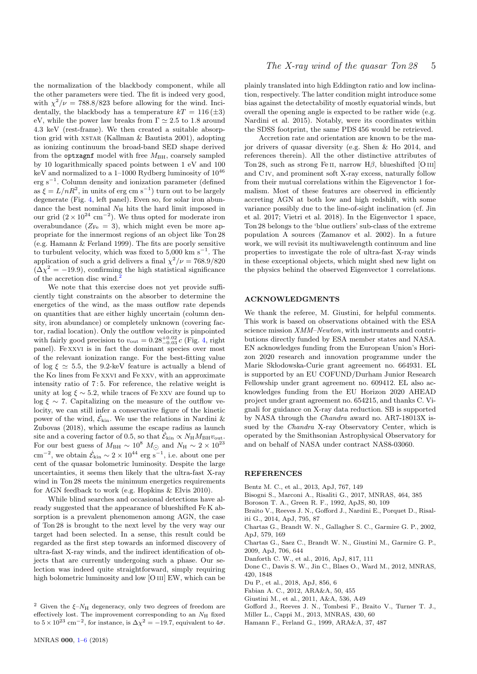the normalization of the blackbody component, while all the other parameters were tied. The fit is indeed very good, with  $\chi^2/\nu = 788.8/823$  before allowing for the wind. Incidentally, the blackbody has a temperature  $kT = 116 \, (\pm 3)$ eV, while the power law breaks from  $\Gamma \simeq 2.5$  to 1.8 around 4.3 keV (rest-frame). We then created a suitable absorption grid with XSTAR (Kallman & Bautista 2001), adopting as ionizing continuum the broad-band SED shape derived from the optxagnf model with free  $M_{\rm BH},$  coarsely sampled by 10 logarithmically spaced points between 1 eV and 100 keV and normalized to a 1–1000 Rydberg luminosity of  $10^{46}$ erg s<sup>−</sup><sup>1</sup> . Column density and ionization parameter (defined as  $\xi = L/nR^2$ , in units of erg cm s<sup>-1</sup>) turn out to be largely degenerate (Fig. [4,](#page-3-0) left panel). Even so, for solar iron abundance the best nominal  $N_{\rm H}$  hits the hard limit imposed in our grid  $(2 \times 10^{24} \text{ cm}^{-2})$ . We thus opted for moderate iron overabundance  $(Z_{\text{Fe}} = 3)$ , which might even be more appropriate for the innermost regions of an object like Ton 28 (e.g. Hamann & Ferland 1999). The fits are poorly sensitive to turbulent velocity, which was fixed to  $5,000 \text{ km s}^{-1}$ . The application of such a grid delivers a final  $\chi^2/\nu = 768.9/820$  $(\Delta \chi^2 = -19.9)$ , confirming the high statistical significance of the accretion disc wind.

We note that this exercise does not yet provide sufficiently tight constraints on the absorber to determine the energetics of the wind, as the mass outflow rate depends on quantities that are either highly uncertain (column density, iron abundance) or completely unknown (covering factor, radial location). Only the outflow velocity is pinpointed with fairly good precision to  $v_{\text{out}} = 0.28_{-0.03}^{+0.02} c$  (Fig. [4,](#page-3-0) right panel). Fe xxvi is in fact the dominant species over most of the relevant ionization range. For the best-fitting value of log  $\xi \simeq 5.5$ , the 9.2-keV feature is actually a blend of the  $K\alpha$  lines from Fe xxvi and Fe xxv, with an approximate intensity ratio of 7 : 5. For reference, the relative weight is unity at log  $\xi \sim 5.2$ , while traces of Fe xxv are found up to log  $\xi \sim 7$ . Capitalizing on the measure of the outflow velocity, we can still infer a conservative figure of the kinetic power of the wind,  $\dot{\mathcal{E}}_\mathrm{kin}.$  We use the relations in Nardini & Zubovas (2018), which assume the escape radius as launch site and a covering factor of 0.5, so that  $\dot{\mathcal{E}}_{\rm kin} \propto N_{\rm H} M_{\rm BH} v_{\rm out}$ . For our best guess of  $M_{\text{BH}} \sim 10^8$   $M_{\odot}$  and  $N_{\text{H}} \sim 2 \times 10^{23}$ <br>cm<sup>-2</sup>, we obtain  $\dot{\mathcal{E}}_{\text{kin}} \sim 2 \times 10^{44}$  erg s<sup>-1</sup>, i.e. about one per cent of the quasar bolometric luminosity. Despite the large uncertainties, it seems then likely that the ultra-fast X-ray wind in Ton 28 meets the minimum energetics requirements for AGN feedback to work (e.g. Hopkins & Elvis 2010).

While blind searches and occasional detections have already suggested that the appearance of blueshifted Fe K absorption is a prevalent phenomenon among AGN, the case of Ton 28 is brought to the next level by the very way our target had been selected. In a sense, this result could be regarded as the first step towards an informed discovery of ultra-fast X-ray winds, and the indirect identification of objects that are currently undergoing such a phase. Our selection was indeed quite straightforward, simply requiring high bolometric luminosity and low [O III] EW, which can be plainly translated into high Eddington ratio and low inclination, respectively. The latter condition might introduce some bias against the detectability of mostly equatorial winds, but overall the opening angle is expected to be rather wide (e.g. Nardini et al. 2015). Notably, were its coordinates within the SDSS footprint, the same PDS 456 would be retrieved.

Accretion rate and orientation are known to be the major drivers of quasar diversity (e.g. Shen & Ho 2014, and references therein). All the other distinctive attributes of Ton 28, such as strong Fe II, narrow  $H\beta$ , blueshifted [O III] and C iv, and prominent soft X-ray excess, naturally follow from their mutual correlations within the Eigevenctor 1 formalism. Most of these features are observed in efficiently accreting AGN at both low and high redshift, with some variance possibly due to the line-of-sight inclination (cf. Jin et al. 2017; Vietri et al. 2018). In the Eigenvector 1 space, Ton 28 belongs to the 'blue outliers' sub-class of the extreme population A sources (Zamanov et al. 2002). In a future work, we will revisit its multiwavelength continuum and line properties to investigate the role of ultra-fast X-ray winds in these exceptional objects, which might shed new light on the physics behind the observed Eigenvector 1 correlations.

### ACKNOWLEDGMENTS

We thank the referee, M. Giustini, for helpful comments. This work is based on observations obtained with the ESA science mission  $XMM-Newton$ , with instruments and contributions directly funded by ESA member states and NASA. EN acknowledges funding from the European Union's Horizon 2020 research and innovation programme under the Marie Skłodowska-Curie grant agreement no. 664931. EL is supported by an EU COFUND/Durham Junior Research Fellowship under grant agreement no. 609412. EL also acknowledges funding from the EU Horizon 2020 AHEAD project under grant agreement no. 654215, and thanks C. Vignali for guidance on X-ray data reduction. SB is supported by NASA through the Chandra award no. AR7-18013X issued by the Chandra X-ray Observatory Center, which is operated by the Smithsonian Astrophysical Observatory for and on behalf of NASA under contract NAS8-03060.

#### **REFERENCES**

- Bentz M. C., et al., 2013, ApJ, 767, 149
- Bisogni S., Marconi A., Risaliti G., 2017, MNRAS, 464, 385
- Boroson T. A., Green R. F., 1992, ApJS, 80, 109
- Braito V., Reeves J. N., Gofford J., Nardini E., Porquet D., Risaliti G., 2014, ApJ, 795, 87
- Chartas G., Brandt W. N., Gallagher S. C., Garmire G. P., 2002, ApJ, 579, 169
- Chartas G., Saez C., Brandt W. N., Giustini M., Garmire G. P., 2009, ApJ, 706, 644
- Danforth C. W., et al., 2016, ApJ, 817, 111
- Done C., Davis S. W., Jin C., Blaes O., Ward M., 2012, MNRAS, 420, 1848
- Du P., et al., 2018, ApJ, 856, 6
- Fabian A. C., 2012, ARA&A, 50, 455
- Giustini M., et al., 2011, A&A, 536, A49
- Gofford J., Reeves J. N., Tombesi F., Braito V., Turner T. J.,
- Miller L., Cappi M., 2013, MNRAS, 430, 60
- Hamann F., Ferland G., 1999, ARA&A, 37, 487

<span id="page-4-0"></span><sup>&</sup>lt;sup>2</sup> Given the  $\xi$ – $N_H$  degeneracy, only two degrees of freedom are effectively lost. The improvement corresponding to an  $N_{\rm H}$  fixed to  $5 \times 10^{23}$  cm<sup>-2</sup>, for instance, is  $\Delta \chi^2 = -19.7$ , equivalent to  $4\sigma$ .